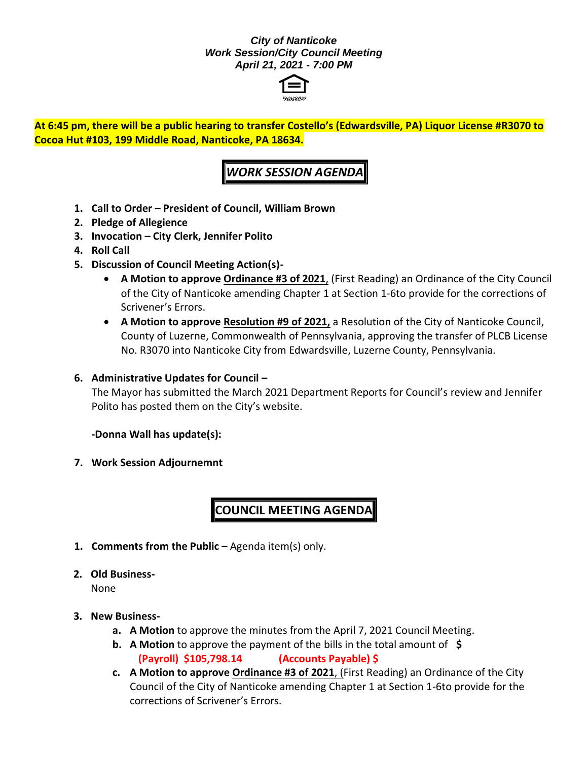#### *City of Nanticoke Work Session/City Council Meeting April 21, 2021 - 7:00 PM*



**At 6:45 pm, there will be a public hearing to transfer Costello's (Edwardsville, PA) Liquor License #R3070 to Cocoa Hut #103, 199 Middle Road, Nanticoke, PA 18634.**

## *WORK SESSION AGENDA*

- **1. Call to Order – President of Council, William Brown**
- **2. Pledge of Allegience**
- **3. Invocation – City Clerk, Jennifer Polito**
- **4. Roll Call**
- **5. Discussion of Council Meeting Action(s)-**
	- **A Motion to approve Ordinance #3 of 2021**, (First Reading) an Ordinance of the City Council of the City of Nanticoke amending Chapter 1 at Section 1-6to provide for the corrections of Scrivener's Errors.
	- **A Motion to approve Resolution #9 of 2021,** a Resolution of the City of Nanticoke Council, County of Luzerne, Commonwealth of Pennsylvania, approving the transfer of PLCB License No. R3070 into Nanticoke City from Edwardsville, Luzerne County, Pennsylvania.

### **6. Administrative Updates for Council –**

The Mayor has submitted the March 2021 Department Reports for Council's review and Jennifer Polito has posted them on the City's website.

#### **-Donna Wall has update(s):**

**7. Work Session Adjournemnt**

# **COUNCIL MEETING AGENDA**

- **1. Comments from the Public –** Agenda item(s) only.
- **2. Old Business-**

None

#### **3. New Business-**

- **a. A Motion** to approve the minutes from the April 7, 2021 Council Meeting.
- **b. A Motion** to approve the payment of the bills in the total amount of **\$ (Payroll) \$105,798.14 (Accounts Payable) \$**
- **c. A Motion to approve Ordinance #3 of 2021**, (First Reading) an Ordinance of the City Council of the City of Nanticoke amending Chapter 1 at Section 1-6to provide for the corrections of Scrivener's Errors.